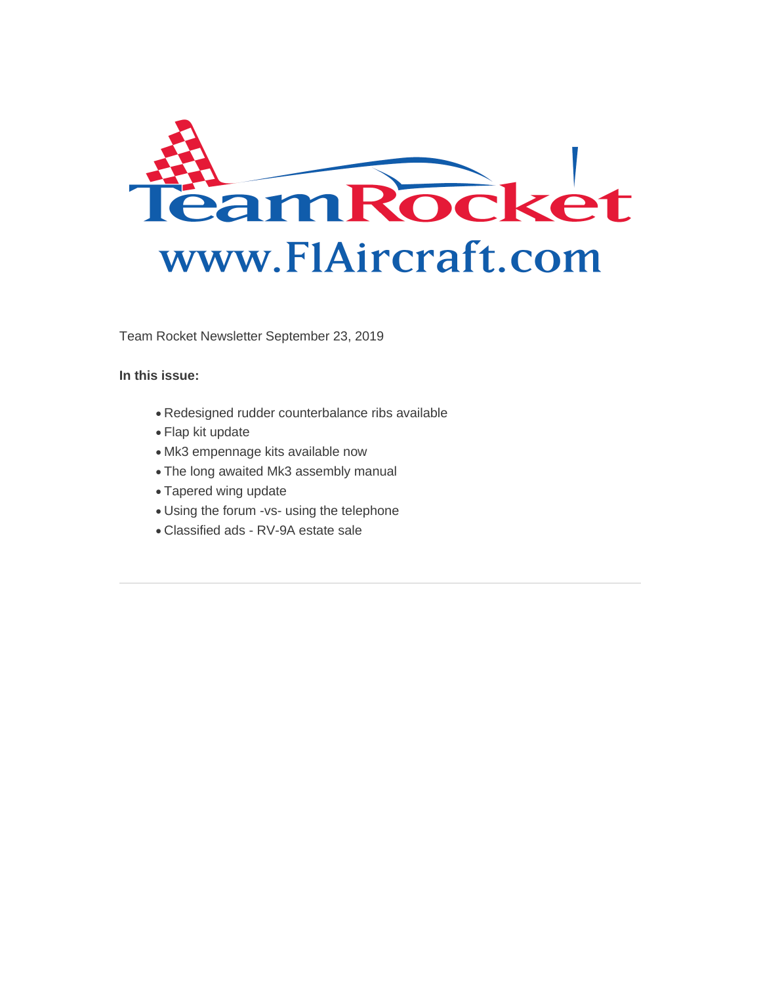

Team Rocket Newsletter September 23, 2019

**In this issue:**

- Redesigned rudder counterbalance ribs available
- Flap kit update
- Mk3 empennage kits available now
- The long awaited Mk3 assembly manual
- Tapered wing update
- Using the forum -vs- using the telephone
- Classified ads RV-9A estate sale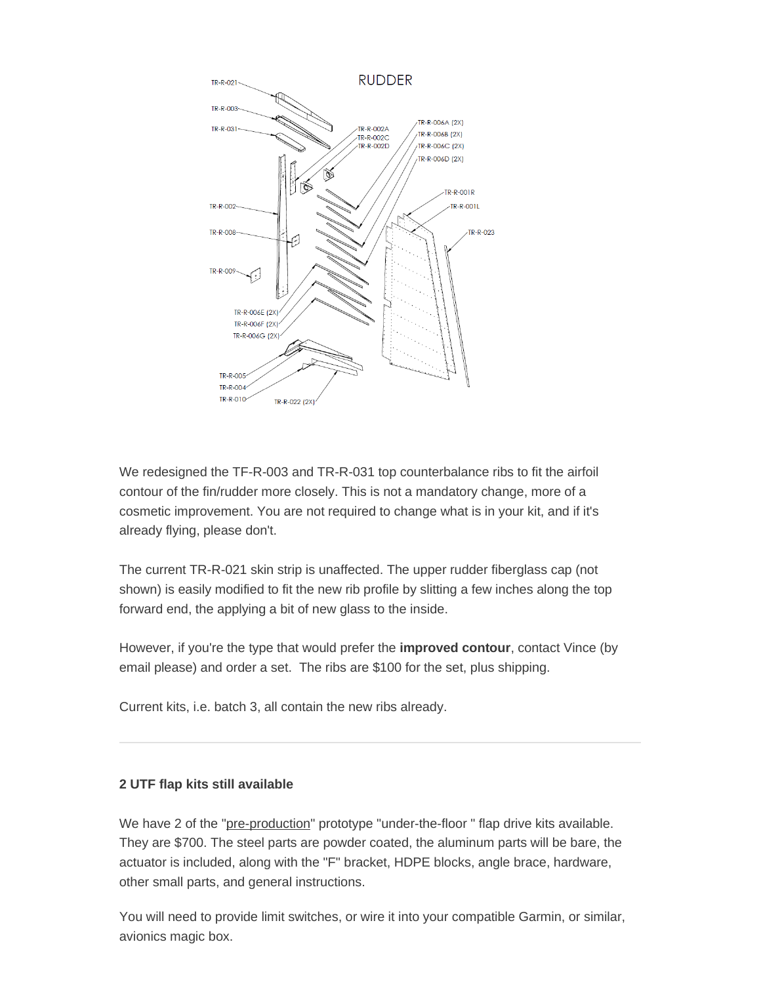

We redesigned the TF-R-003 and TR-R-031 top counterbalance ribs to fit the airfoil contour of the fin/rudder more closely. This is not a mandatory change, more of a cosmetic improvement. You are not required to change what is in your kit, and if it's already flying, please don't.

The current TR-R-021 skin strip is unaffected. The upper rudder fiberglass cap (not shown) is easily modified to fit the new rib profile by slitting a few inches along the top forward end, the applying a bit of new glass to the inside.

However, if you're the type that would prefer the **improved contour**, contact Vince (by email please) and order a set. The ribs are \$100 for the set, plus shipping.

Current kits, i.e. batch 3, all contain the new ribs already.

### **2 UTF flap kits still available**

We have 2 of the "pre-production" prototype "under-the-floor " flap drive kits available. They are \$700. The steel parts are powder coated, the aluminum parts will be bare, the actuator is included, along with the "F" bracket, HDPE blocks, angle brace, hardware, other small parts, and general instructions.

You will need to provide limit switches, or wire it into your compatible Garmin, or similar, avionics magic box.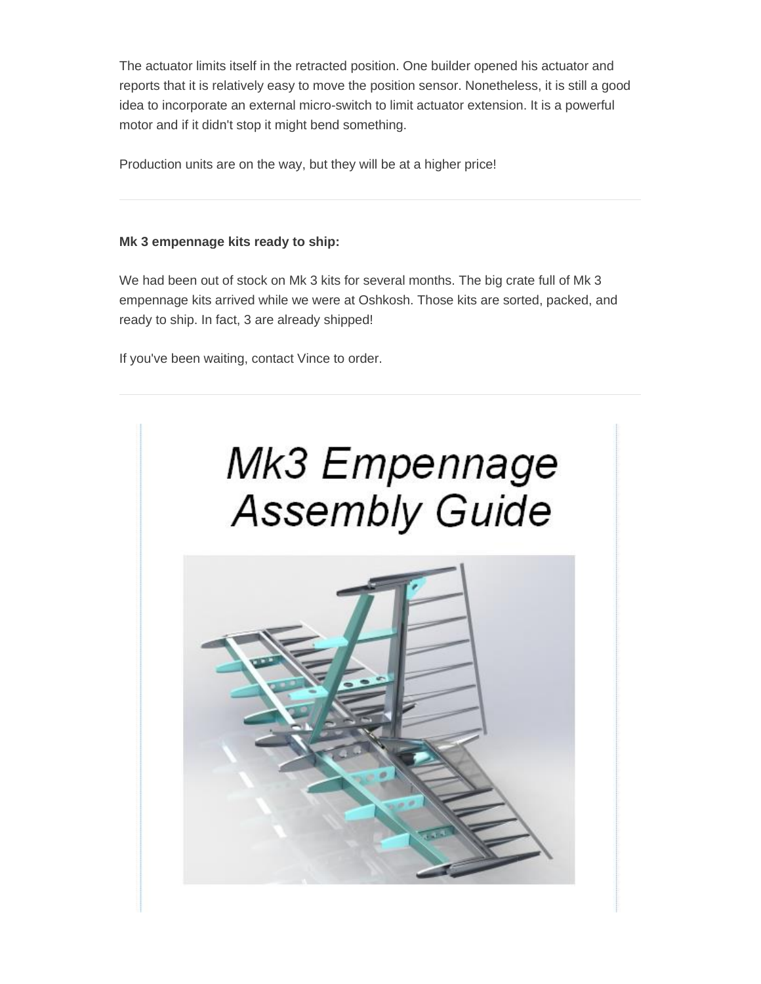The actuator limits itself in the retracted position. One builder opened his actuator and reports that it is relatively easy to move the position sensor. Nonetheless, it is still a good idea to incorporate an external micro-switch to limit actuator extension. It is a powerful motor and if it didn't stop it might bend something.

Production units are on the way, but they will be at a higher price!

#### **Mk 3 empennage kits ready to ship:**

We had been out of stock on Mk 3 kits for several months. The big crate full of Mk 3 empennage kits arrived while we were at Oshkosh. Those kits are sorted, packed, and ready to ship. In fact, 3 are already shipped!

If you've been waiting, contact Vince to order.

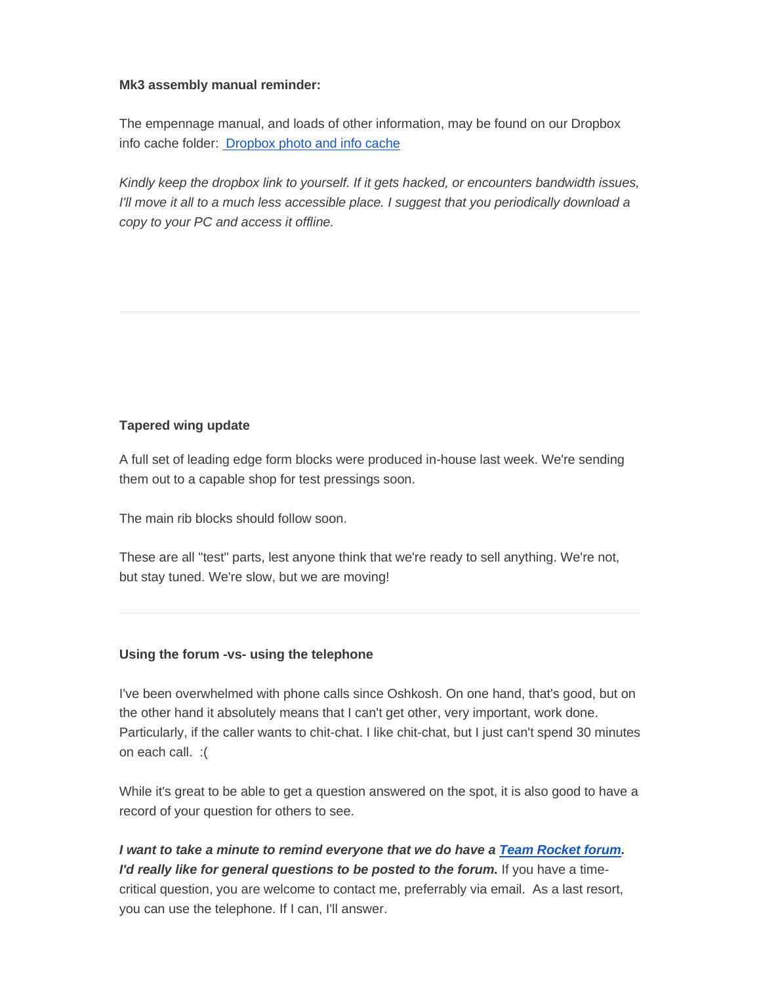#### **Mk3 assembly manual reminder:**

The empennage manual, and loads of other information, may be found on our Dropbox info cache folder: [Dropbox photo and info cache](http://f1aircraft.benchurl.com/c/l?u=928A88D&e=EEA47F&c=E356B&t=0&l=FFBB8A&email=aR1RV9%2BYo52gIqxj1QGBi5emkgBQcCdv&seq=1)

*Kindly keep the dropbox link to yourself. If it gets hacked, or encounters bandwidth issues, I'll move it all to a much less accessible place. I suggest that you periodically download a copy to your PC and access it offline.*

### **Tapered wing update**

A full set of leading edge form blocks were produced in-house last week. We're sending them out to a capable shop for test pressings soon.

The main rib blocks should follow soon.

These are all "test" parts, lest anyone think that we're ready to sell anything. We're not, but stay tuned. We're slow, but we are moving!

### **Using the forum -vs- using the telephone**

I've been overwhelmed with phone calls since Oshkosh. On one hand, that's good, but on the other hand it absolutely means that I can't get other, very important, work done. Particularly, if the caller wants to chit-chat. I like chit-chat, but I just can't spend 30 minutes on each call. :(

While it's great to be able to get a question answered on the spot, it is also good to have a record of your question for others to see.

*I want to take a minute to remind everyone that we do have a [Team Rocket forum.](http://f1aircraft.benchurl.com/c/l?u=928A899&e=EEA47F&c=E356B&t=0&l=FFBB8A&email=aR1RV9%2BYo52gIqxj1QGBi5emkgBQcCdv&seq=1) I'd really like for general questions to be posted to the forum.* **If you have a time**critical question, you are welcome to contact me, preferrably via email. As a last resort, you can use the telephone. If I can, I'll answer.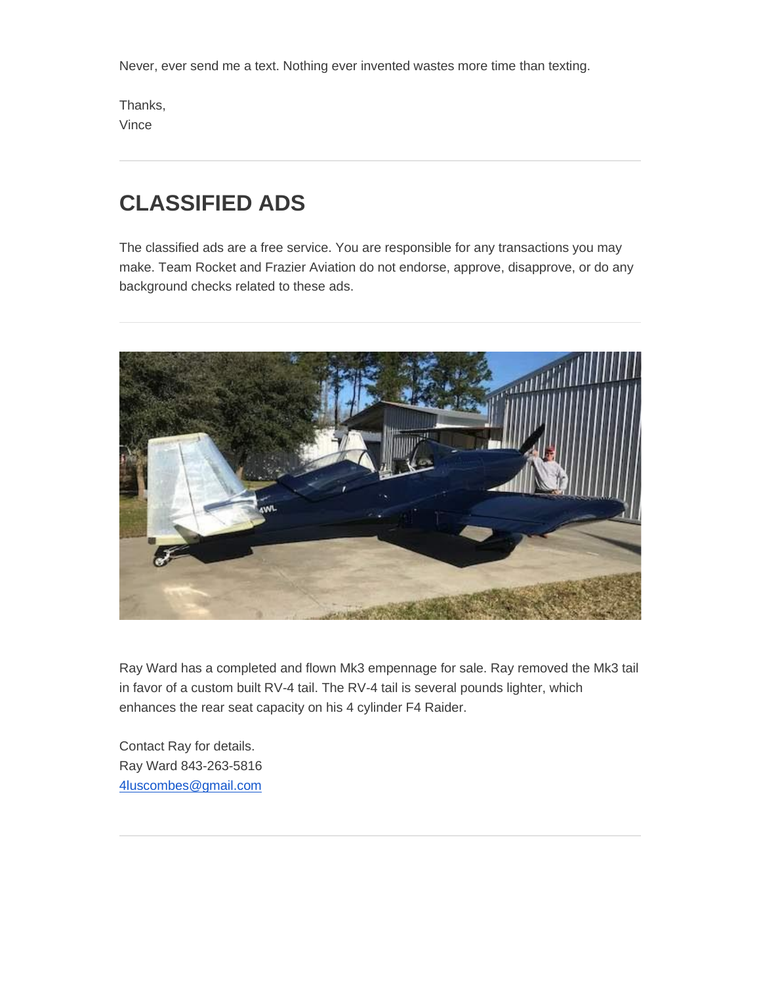Never, ever send me a text. Nothing ever invented wastes more time than texting.

Thanks, Vince

# **CLASSIFIED ADS**

The classified ads are a free service. You are responsible for any transactions you may make. Team Rocket and Frazier Aviation do not endorse, approve, disapprove, or do any background checks related to these ads.



Ray Ward has a completed and flown Mk3 empennage for sale. Ray removed the Mk3 tail in favor of a custom built RV-4 tail. The RV-4 tail is several pounds lighter, which enhances the rear seat capacity on his 4 cylinder F4 Raider.

Contact Ray for details. Ray Ward 843-263-5816 [4luscombes@gmail.com](mailto:4luscombes@gmail.com)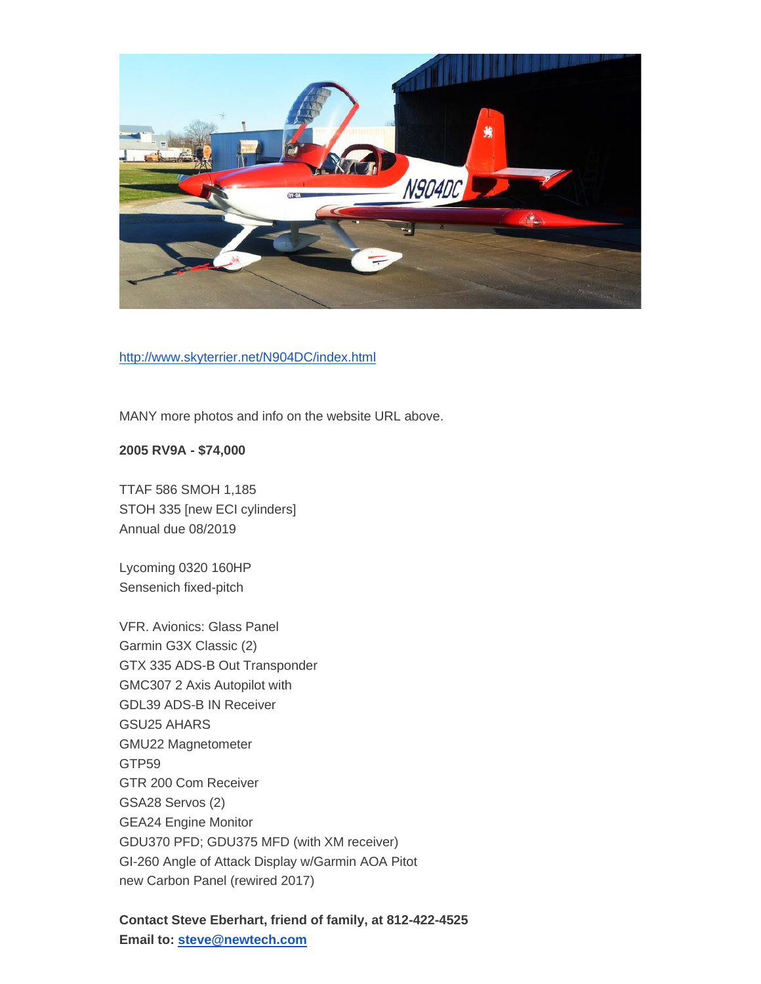

[http://www.skyterrier.net/N904DC/index.html](http://f1aircraft.benchurl.com/c/l?u=928A89A&e=EEA47F&c=E356B&t=0&l=FFBB8A&email=aR1RV9%2BYo52gIqxj1QGBi5emkgBQcCdv&seq=1)

MANY more photos and info on the website URL above.

**2005 RV9A - \$74,000**

TTAF 586 SMOH 1,185 STOH 335 [new ECI cylinders] Annual due 08/2019

Lycoming 0320 160HP Sensenich fixed-pitch

VFR. Avionics: Glass Panel Garmin G3X Classic (2) GTX 335 ADS-B Out Transponder GMC307 2 Axis Autopilot with GDL39 ADS-B IN Receiver GSU25 AHARS GMU22 Magnetometer GTP59 GTR 200 Com Receiver GSA28 Servos (2) GEA24 Engine Monitor GDU370 PFD; GDU375 MFD (with XM receiver) GI-260 Angle of Attack Display w/Garmin AOA Pitot new Carbon Panel (rewired 2017)

## **Contact Steve Eberhart, friend of family, at 812-422-4525 Email to: [steve@newtech.com](http://f1aircraft.benchurl.com/c/l?u=928A89B&e=EEA47F&c=E356B&t=0&l=FFBB8A&email=aR1RV9%2BYo52gIqxj1QGBi5emkgBQcCdv&seq=1)**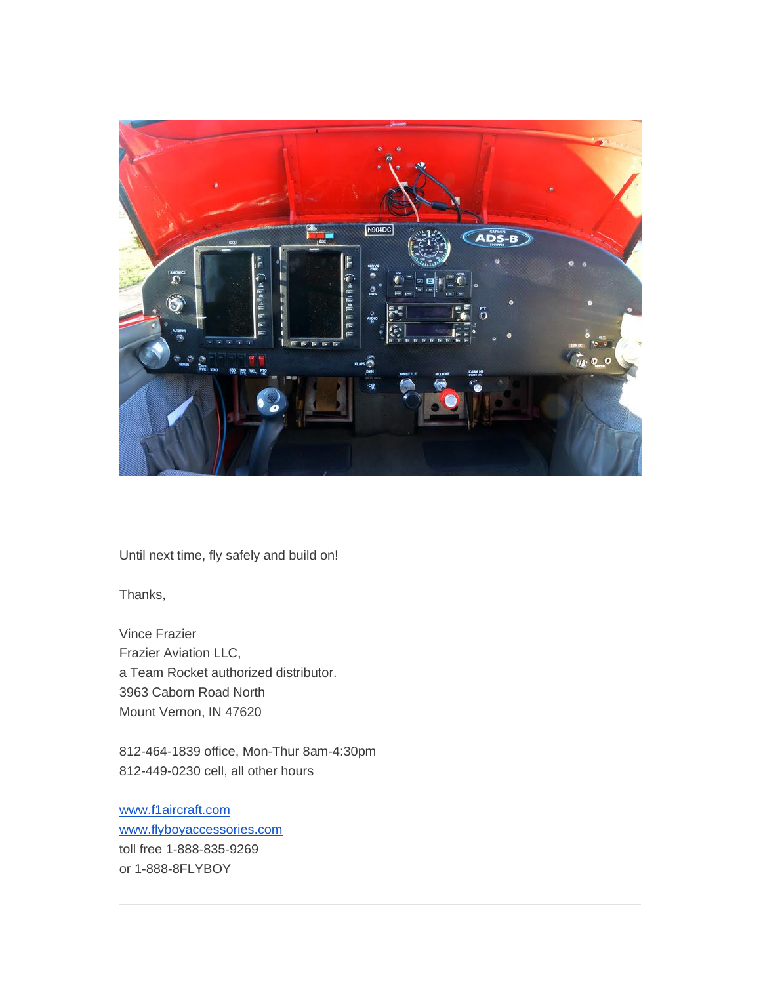

Until next time, fly safely and build on!

Thanks,

Vince Frazier Frazier Aviation LLC, a Team Rocket authorized distributor. 3963 Caborn Road North Mount Vernon, IN 47620

812-464-1839 office, Mon-Thur 8am-4:30pm 812-449-0230 cell, all other hours

[www.f1aircraft.com](http://f1aircraft.benchurl.com/c/l?u=928A89D&e=EEA47F&c=E356B&t=0&l=FFBB8A&email=aR1RV9%2BYo52gIqxj1QGBi5emkgBQcCdv&seq=1) [www.flyboyaccessories.com](http://f1aircraft.benchurl.com/c/l?u=928A896&e=EEA47F&c=E356B&t=0&l=FFBB8A&email=aR1RV9%2BYo52gIqxj1QGBi5emkgBQcCdv&seq=1) toll free 1-888-835-9269 or 1-888-8FLYBOY